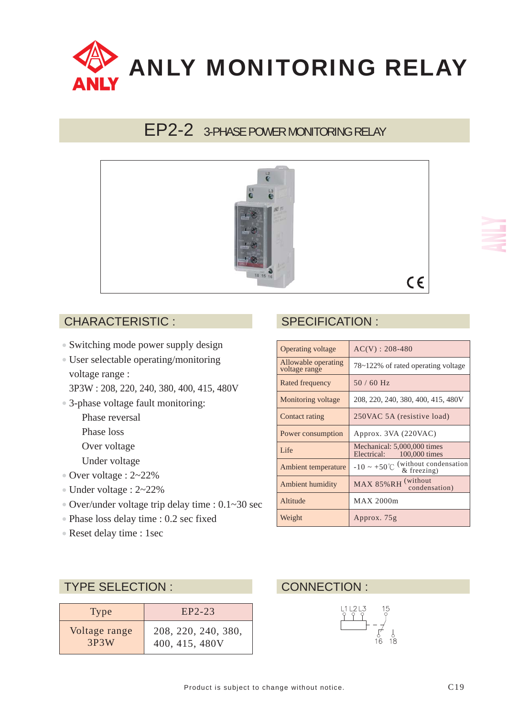

# EP2-2 3-PHASE POWER MONITORING RELAY



#### CHARACTERISTIC :

- Switching mode power supply design
- User selectable operating/monitoring voltage range :
	- 3P3W : 208, 220, 240, 380, 400, 415, 480V
- 3-phase voltage fault monitoring:
	- Phase reversal
	- Phase loss
	- Over voltage
	- Under voltage
- Over voltage : 2~22%
- Under voltage : 2~22%
- Over/under voltage trip delay time : 0.1~30 sec
- Phase loss delay time : 0.2 sec fixed
- Reset delay time : 1sec

### SPECIFICATION :

| <b>Operating voltage</b>             | $AC(V)$ : 208-480                                               |
|--------------------------------------|-----------------------------------------------------------------|
| Allowable operating<br>voltage range | 78~122% of rated operating voltage                              |
| Rated frequency                      | $50/60$ Hz                                                      |
| Monitoring voltage                   | 208, 220, 240, 380, 400, 415, 480V                              |
| Contact rating                       | 250VAC 5A (resistive load)                                      |
| Power consumption                    | Approx. 3VA (220VAC)                                            |
| Life                                 | Mechanical: 5,000,000 times<br>Electrical:<br>100,000 times     |
| Ambient temperature                  | $-10 \sim +50^{\circ}$ C (without condensation<br>$&$ freezing) |
| Ambient humidity                     | MAX 85%RH (without<br>condensation)                             |
| Altitude                             | MAX 2000m                                                       |
| Weight                               | Approx. 75g                                                     |

#### TYPE SELECTION :

| <b>Type</b>   | $EP2-23$            |
|---------------|---------------------|
| Voltage range | 208, 220, 240, 380, |
| 3P3W          | 400, 415, 480V      |

#### CONNECTION :